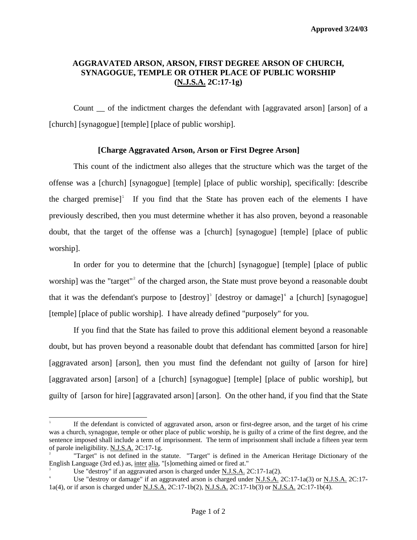## **AGGRAVATED ARSON, ARSON, FIRST DEGREE ARSON OF CHURCH, SYNAGOGUE, TEMPLE OR OTHER PLACE OF PUBLIC WORSHIP (N.J.S.A. 2C:17-1g)**

Count \_\_ of the indictment charges the defendant with [aggravated arson] [arson] of a [church] [synagogue] [temple] [place of public worship].

## **[Charge Aggravated Arson, Arson or First Degree Arson]**

This count of the indictment also alleges that the structure which was the target of the offense was a [church] [synagogue] [temple] [place of public worship], specifically: [describe the charged premise]<sup>[1](#page-0-0)</sup> If you find that the State has proven each of the elements I have previously described, then you must determine whether it has also proven, beyond a reasonable doubt, that the target of the offense was a [church] [synagogue] [temple] [place of public worship].

In order for you to determine that the [church] [synagogue] [temple] [place of public worship] was the "target"<sup>[2](#page-0-1)</sup> of the charged arson, the State must prove beyond a reasonable doubt that it was the defendant's purpose to  $[destroy]^3$  $[destroy]^3$   $[destroy or damage]^4$  $[destroy or damage]^4$  a  $[chunk]$  [synagogue] [temple] [place of public worship]. I have already defined "purposely" for you.

If you find that the State has failed to prove this additional element beyond a reasonable doubt, but has proven beyond a reasonable doubt that defendant has committed [arson for hire] [aggravated arson] [arson], then you must find the defendant not guilty of [arson for hire] [aggravated arson] [arson] of a [church] [synagogue] [temple] [place of public worship], but guilty of [arson for hire] [aggravated arson] [arson]. On the other hand, if you find that the State

i<br>L

<span id="page-0-0"></span><sup>1</sup> If the defendant is convicted of aggravated arson, arson or first-degree arson, and the target of his crime was a church, synagogue, temple or other place of public worship, he is guilty of a crime of the first degree, and the sentence imposed shall include a term of imprisonment. The term of imprisonment shall include a fifteen year term of parole ineligibility. N.J.S.A. 2C:17-1g.

<span id="page-0-1"></span><sup>2</sup> "Target" is not defined in the statute. "Target" is defined in the American Heritage Dictionary of the English Language (3rd ed.) as, inter alia, "[s]omething aimed or fired at."

<span id="page-0-2"></span><sup>3</sup> Use "destroy" if an aggravated arson is charged under N.J.S.A. 2C:17-1a(2).

<span id="page-0-3"></span><sup>4</sup> Use "destroy or damage" if an aggravated arson is charged under N.J.S.A. 2C:17-1a(3) or N.J.S.A. 2C:17-1a(4), or if arson is charged under N.J.S.A. 2C:17-1b(2), N.J.S.A. 2C:17-1b(3) or N.J.S.A. 2C:17-1b(4).